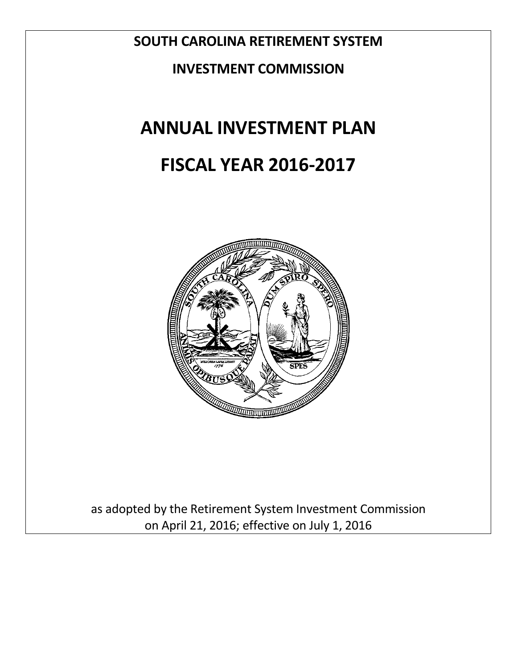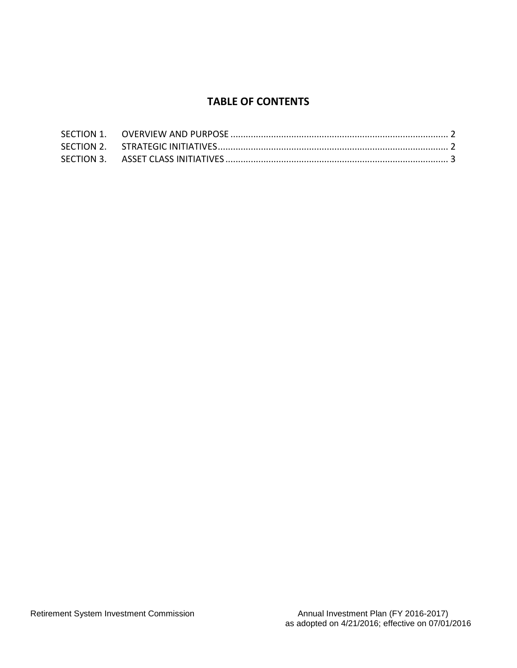# **TABLE OF CONTENTS**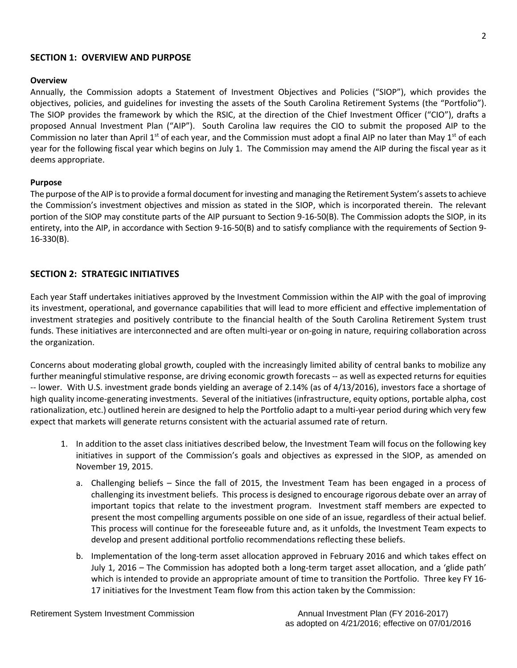## **SECTION 1: OVERVIEW AND PURPOSE**

#### **Overview**

Annually, the Commission adopts a Statement of Investment Objectives and Policies ("SIOP"), which provides the objectives, policies, and guidelines for investing the assets of the South Carolina Retirement Systems (the "Portfolio"). The SIOP provides the framework by which the RSIC, at the direction of the Chief Investment Officer ("CIO"), drafts a proposed Annual Investment Plan ("AIP"). South Carolina law requires the CIO to submit the proposed AIP to the Commission no later than April 1st of each year, and the Commission must adopt a final AIP no later than May 1st of each year for the following fiscal year which begins on July 1. The Commission may amend the AIP during the fiscal year as it deems appropriate.

#### **Purpose**

The purpose of the AIP is to provide a formal document for investing and managing the Retirement System's assets to achieve the Commission's investment objectives and mission as stated in the SIOP, which is incorporated therein. The relevant portion of the SIOP may constitute parts of the AIP pursuant to Section 9-16-50(B). The Commission adopts the SIOP, in its entirety, into the AIP, in accordance with Section 9-16-50(B) and to satisfy compliance with the requirements of Section 9- 16-330(B).

# **SECTION 2: STRATEGIC INITIATIVES**

Each year Staff undertakes initiatives approved by the Investment Commission within the AIP with the goal of improving its investment, operational, and governance capabilities that will lead to more efficient and effective implementation of investment strategies and positively contribute to the financial health of the South Carolina Retirement System trust funds. These initiatives are interconnected and are often multi-year or on-going in nature, requiring collaboration across the organization.

Concerns about moderating global growth, coupled with the increasingly limited ability of central banks to mobilize any further meaningful stimulative response, are driving economic growth forecasts -- as well as expected returns for equities -- lower. With U.S. investment grade bonds yielding an average of 2.14% (as of 4/13/2016), investors face a shortage of high quality income-generating investments. Several of the initiatives (infrastructure, equity options, portable alpha, cost rationalization, etc.) outlined herein are designed to help the Portfolio adapt to a multi-year period during which very few expect that markets will generate returns consistent with the actuarial assumed rate of return.

- 1. In addition to the asset class initiatives described below, the Investment Team will focus on the following key initiatives in support of the Commission's goals and objectives as expressed in the SIOP, as amended on November 19, 2015.
	- a. Challenging beliefs Since the fall of 2015, the Investment Team has been engaged in a process of challenging its investment beliefs. This process is designed to encourage rigorous debate over an array of important topics that relate to the investment program. Investment staff members are expected to present the most compelling arguments possible on one side of an issue, regardless of their actual belief. This process will continue for the foreseeable future and, as it unfolds, the Investment Team expects to develop and present additional portfolio recommendations reflecting these beliefs.
	- b. Implementation of the long-term asset allocation approved in February 2016 and which takes effect on July 1, 2016 – The Commission has adopted both a long-term target asset allocation, and a 'glide path' which is intended to provide an appropriate amount of time to transition the Portfolio. Three key FY 16- 17 initiatives for the Investment Team flow from this action taken by the Commission: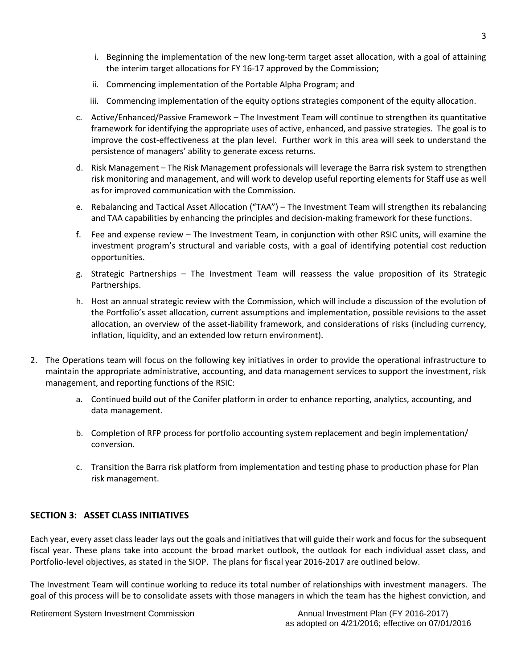- i. Beginning the implementation of the new long-term target asset allocation, with a goal of attaining the interim target allocations for FY 16-17 approved by the Commission;
- ii. Commencing implementation of the Portable Alpha Program; and
- iii. Commencing implementation of the equity options strategies component of the equity allocation.
- c. Active/Enhanced/Passive Framework The Investment Team will continue to strengthen its quantitative framework for identifying the appropriate uses of active, enhanced, and passive strategies. The goal is to improve the cost-effectiveness at the plan level. Further work in this area will seek to understand the persistence of managers' ability to generate excess returns.
- d. Risk Management The Risk Management professionals will leverage the Barra risk system to strengthen risk monitoring and management, and will work to develop useful reporting elements for Staff use as well as for improved communication with the Commission.
- e. Rebalancing and Tactical Asset Allocation ("TAA") The Investment Team will strengthen its rebalancing and TAA capabilities by enhancing the principles and decision-making framework for these functions.
- f. Fee and expense review The Investment Team, in conjunction with other RSIC units, will examine the investment program's structural and variable costs, with a goal of identifying potential cost reduction opportunities.
- g. Strategic Partnerships The Investment Team will reassess the value proposition of its Strategic Partnerships.
- h. Host an annual strategic review with the Commission, which will include a discussion of the evolution of the Portfolio's asset allocation, current assumptions and implementation, possible revisions to the asset allocation, an overview of the asset-liability framework, and considerations of risks (including currency, inflation, liquidity, and an extended low return environment).
- 2. The Operations team will focus on the following key initiatives in order to provide the operational infrastructure to maintain the appropriate administrative, accounting, and data management services to support the investment, risk management, and reporting functions of the RSIC:
	- a. Continued build out of the Conifer platform in order to enhance reporting, analytics, accounting, and data management.
	- b. Completion of RFP process for portfolio accounting system replacement and begin implementation/ conversion.
	- c. Transition the Barra risk platform from implementation and testing phase to production phase for Plan risk management.

# **SECTION 3: ASSET CLASS INITIATIVES**

Each year, every asset class leader lays out the goals and initiatives that will guide their work and focus for the subsequent fiscal year. These plans take into account the broad market outlook, the outlook for each individual asset class, and Portfolio-level objectives, as stated in the SIOP. The plans for fiscal year 2016-2017 are outlined below.

The Investment Team will continue working to reduce its total number of relationships with investment managers. The goal of this process will be to consolidate assets with those managers in which the team has the highest conviction, and

Retirement System Investment Commission **Annual Investment Plan (FY 2016-2017)** Annual Investment Plan (FY 2016-2017)

as adopted on 4/21/2016; effective on 07/01/2016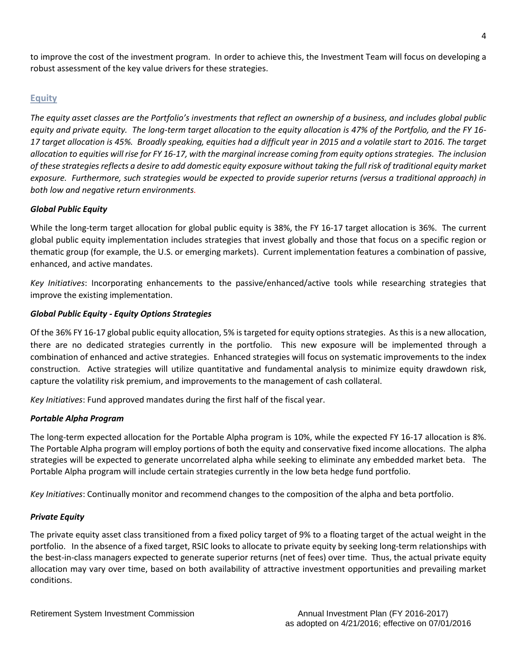to improve the cost of the investment program. In order to achieve this, the Investment Team will focus on developing a robust assessment of the key value drivers for these strategies.

# **Equity**

*The equity asset classes are the Portfolio's investments that reflect an ownership of a business, and includes global public equity and private equity. The long-term target allocation to the equity allocation is 47% of the Portfolio, and the FY 16- 17 target allocation is 45%. Broadly speaking, equities had a difficult year in 2015 and a volatile start to 2016. The target allocation to equities will rise for FY 16-17, with the marginal increase coming from equity options strategies. The inclusion of these strategies reflects a desire to add domestic equity exposure without taking the full risk of traditional equity market exposure. Furthermore, such strategies would be expected to provide superior returns (versus a traditional approach) in both low and negative return environments.* 

## *Global Public Equity*

While the long-term target allocation for global public equity is 38%, the FY 16-17 target allocation is 36%. The current global public equity implementation includes strategies that invest globally and those that focus on a specific region or thematic group (for example, the U.S. or emerging markets). Current implementation features a combination of passive, enhanced, and active mandates.

*Key Initiatives*: Incorporating enhancements to the passive/enhanced/active tools while researching strategies that improve the existing implementation.

# *Global Public Equity - Equity Options Strategies*

Of the 36% FY 16-17 global public equity allocation, 5% is targeted for equity options strategies. As this is a new allocation, there are no dedicated strategies currently in the portfolio. This new exposure will be implemented through a combination of enhanced and active strategies. Enhanced strategies will focus on systematic improvements to the index construction. Active strategies will utilize quantitative and fundamental analysis to minimize equity drawdown risk, capture the volatility risk premium, and improvements to the management of cash collateral.

*Key Initiatives*: Fund approved mandates during the first half of the fiscal year.

## *Portable Alpha Program*

The long-term expected allocation for the Portable Alpha program is 10%, while the expected FY 16-17 allocation is 8%. The Portable Alpha program will employ portions of both the equity and conservative fixed income allocations. The alpha strategies will be expected to generate uncorrelated alpha while seeking to eliminate any embedded market beta. The Portable Alpha program will include certain strategies currently in the low beta hedge fund portfolio.

*Key Initiatives*: Continually monitor and recommend changes to the composition of the alpha and beta portfolio.

## *Private Equity*

The private equity asset class transitioned from a fixed policy target of 9% to a floating target of the actual weight in the portfolio. In the absence of a fixed target, RSIC looks to allocate to private equity by seeking long-term relationships with the best-in-class managers expected to generate superior returns (net of fees) over time. Thus, the actual private equity allocation may vary over time, based on both availability of attractive investment opportunities and prevailing market conditions.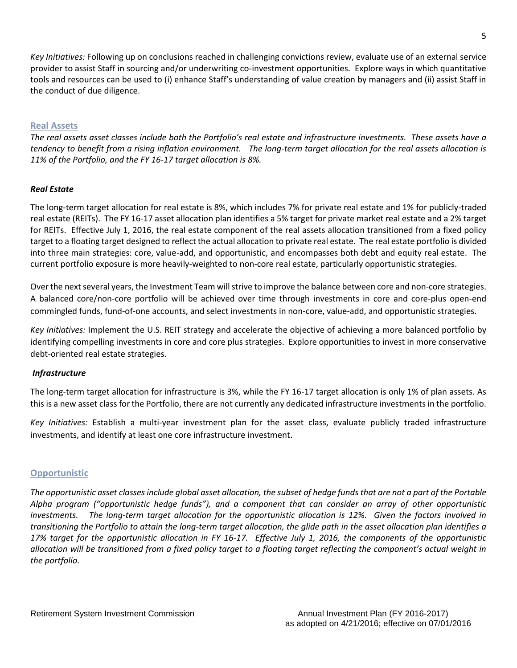*Key Initiatives:* Following up on conclusions reached in challenging convictions review, evaluate use of an external service provider to assist Staff in sourcing and/or underwriting co-investment opportunities. Explore ways in which quantitative tools and resources can be used to (i) enhance Staff's understanding of value creation by managers and (ii) assist Staff in the conduct of due diligence.

# **Real Assets**

*The real assets asset classes include both the Portfolio's real estate and infrastructure investments. These assets have a tendency to benefit from a rising inflation environment. The long-term target allocation for the real assets allocation is 11% of the Portfolio, and the FY 16-17 target allocation is 8%.* 

## *Real Estate*

The long-term target allocation for real estate is 8%, which includes 7% for private real estate and 1% for publicly-traded real estate (REITs). The FY 16-17 asset allocation plan identifies a 5% target for private market real estate and a 2% target for REITs. Effective July 1, 2016, the real estate component of the real assets allocation transitioned from a fixed policy target to a floating target designed to reflect the actual allocation to private real estate. The real estate portfolio is divided into three main strategies: core, value-add, and opportunistic, and encompasses both debt and equity real estate. The current portfolio exposure is more heavily-weighted to non-core real estate, particularly opportunistic strategies.

Over the next several years, the Investment Team will strive to improve the balance between core and non-core strategies. A balanced core/non-core portfolio will be achieved over time through investments in core and core-plus open-end commingled funds, fund-of-one accounts, and select investments in non-core, value-add, and opportunistic strategies.

*Key Initiatives:* Implement the U.S. REIT strategy and accelerate the objective of achieving a more balanced portfolio by identifying compelling investments in core and core plus strategies. Explore opportunities to invest in more conservative debt-oriented real estate strategies.

## *Infrastructure*

The long-term target allocation for infrastructure is 3%, while the FY 16-17 target allocation is only 1% of plan assets. As this is a new asset class for the Portfolio, there are not currently any dedicated infrastructure investments in the portfolio.

*Key Initiatives:* Establish a multi-year investment plan for the asset class, evaluate publicly traded infrastructure investments, and identify at least one core infrastructure investment.

## **Opportunistic**

*The opportunistic asset classes include global asset allocation, the subset of hedge funds that are not a part of the Portable Alpha program ("opportunistic hedge funds"), and a component that can consider an array of other opportunistic investments. The long-term target allocation for the opportunistic allocation is 12%. Given the factors involved in transitioning the Portfolio to attain the long-term target allocation, the glide path in the asset allocation plan identifies a 17% target for the opportunistic allocation in FY 16-17. Effective July 1, 2016, the components of the opportunistic allocation will be transitioned from a fixed policy target to a floating target reflecting the component's actual weight in the portfolio.*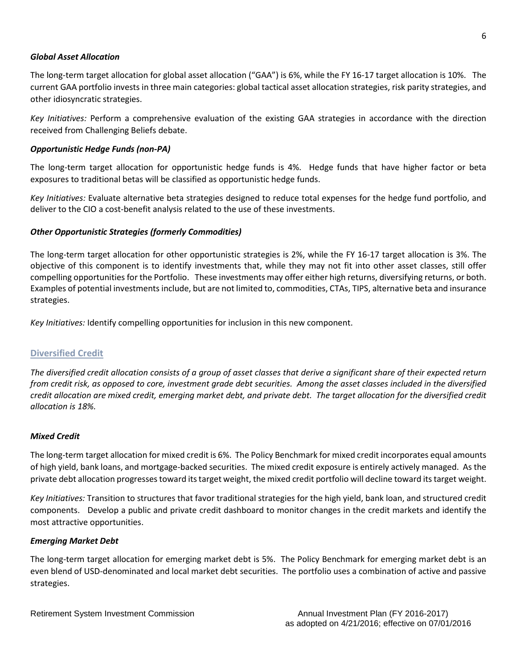#### *Global Asset Allocation*

The long-term target allocation for global asset allocation ("GAA") is 6%, while the FY 16-17 target allocation is 10%. The current GAA portfolio invests in three main categories: global tactical asset allocation strategies, risk parity strategies, and other idiosyncratic strategies.

*Key Initiatives:* Perform a comprehensive evaluation of the existing GAA strategies in accordance with the direction received from Challenging Beliefs debate.

#### *Opportunistic Hedge Funds (non-PA)*

The long-term target allocation for opportunistic hedge funds is 4%. Hedge funds that have higher factor or beta exposures to traditional betas will be classified as opportunistic hedge funds.

*Key Initiatives:* Evaluate alternative beta strategies designed to reduce total expenses for the hedge fund portfolio, and deliver to the CIO a cost-benefit analysis related to the use of these investments.

#### *Other Opportunistic Strategies (formerly Commodities)*

The long-term target allocation for other opportunistic strategies is 2%, while the FY 16-17 target allocation is 3%. The objective of this component is to identify investments that, while they may not fit into other asset classes, still offer compelling opportunities for the Portfolio. These investments may offer either high returns, diversifying returns, or both. Examples of potential investments include, but are not limited to, commodities, CTAs, TIPS, alternative beta and insurance strategies.

*Key Initiatives:* Identify compelling opportunities for inclusion in this new component.

#### **Diversified Credit**

*The diversified credit allocation consists of a group of asset classes that derive a significant share of their expected return from credit risk, as opposed to core, investment grade debt securities. Among the asset classes included in the diversified credit allocation are mixed credit, emerging market debt, and private debt. The target allocation for the diversified credit allocation is 18%.* 

#### *Mixed Credit*

The long-term target allocation for mixed credit is 6%. The Policy Benchmark for mixed credit incorporates equal amounts of high yield, bank loans, and mortgage-backed securities. The mixed credit exposure is entirely actively managed. As the private debt allocation progresses toward its target weight, the mixed credit portfolio will decline toward its target weight.

*Key Initiatives:* Transition to structures that favor traditional strategies for the high yield, bank loan, and structured credit components. Develop a public and private credit dashboard to monitor changes in the credit markets and identify the most attractive opportunities.

#### *Emerging Market Debt*

The long-term target allocation for emerging market debt is 5%. The Policy Benchmark for emerging market debt is an even blend of USD-denominated and local market debt securities. The portfolio uses a combination of active and passive strategies.

Retirement System Investment Commission Annual Investment Plan (FY 2016-2017)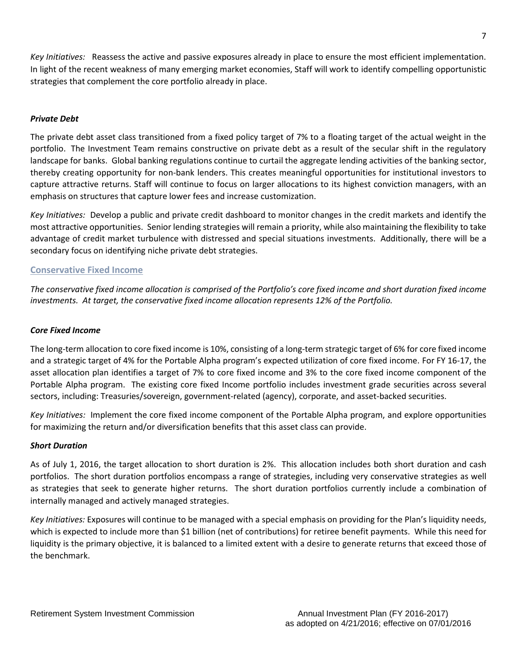*Key Initiatives:* Reassess the active and passive exposures already in place to ensure the most efficient implementation. In light of the recent weakness of many emerging market economies, Staff will work to identify compelling opportunistic strategies that complement the core portfolio already in place.

## *Private Debt*

The private debt asset class transitioned from a fixed policy target of 7% to a floating target of the actual weight in the portfolio. The Investment Team remains constructive on private debt as a result of the secular shift in the regulatory landscape for banks. Global banking regulations continue to curtail the aggregate lending activities of the banking sector, thereby creating opportunity for non-bank lenders. This creates meaningful opportunities for institutional investors to capture attractive returns. Staff will continue to focus on larger allocations to its highest conviction managers, with an emphasis on structures that capture lower fees and increase customization.

*Key Initiatives:* Develop a public and private credit dashboard to monitor changes in the credit markets and identify the most attractive opportunities. Senior lending strategies will remain a priority, while also maintaining the flexibility to take advantage of credit market turbulence with distressed and special situations investments. Additionally, there will be a secondary focus on identifying niche private debt strategies.

#### **Conservative Fixed Income**

*The conservative fixed income allocation is comprised of the Portfolio's core fixed income and short duration fixed income investments. At target, the conservative fixed income allocation represents 12% of the Portfolio.* 

#### *Core Fixed Income*

The long-term allocation to core fixed income is 10%, consisting of a long-term strategic target of 6% for core fixed income and a strategic target of 4% for the Portable Alpha program's expected utilization of core fixed income. For FY 16-17, the asset allocation plan identifies a target of 7% to core fixed income and 3% to the core fixed income component of the Portable Alpha program. The existing core fixed Income portfolio includes investment grade securities across several sectors, including: Treasuries/sovereign, government-related (agency), corporate, and asset-backed securities.

*Key Initiatives:* Implement the core fixed income component of the Portable Alpha program, and explore opportunities for maximizing the return and/or diversification benefits that this asset class can provide.

#### *Short Duration*

As of July 1, 2016, the target allocation to short duration is 2%. This allocation includes both short duration and cash portfolios. The short duration portfolios encompass a range of strategies, including very conservative strategies as well as strategies that seek to generate higher returns. The short duration portfolios currently include a combination of internally managed and actively managed strategies.

*Key Initiatives:* Exposures will continue to be managed with a special emphasis on providing for the Plan's liquidity needs, which is expected to include more than \$1 billion (net of contributions) for retiree benefit payments. While this need for liquidity is the primary objective, it is balanced to a limited extent with a desire to generate returns that exceed those of the benchmark.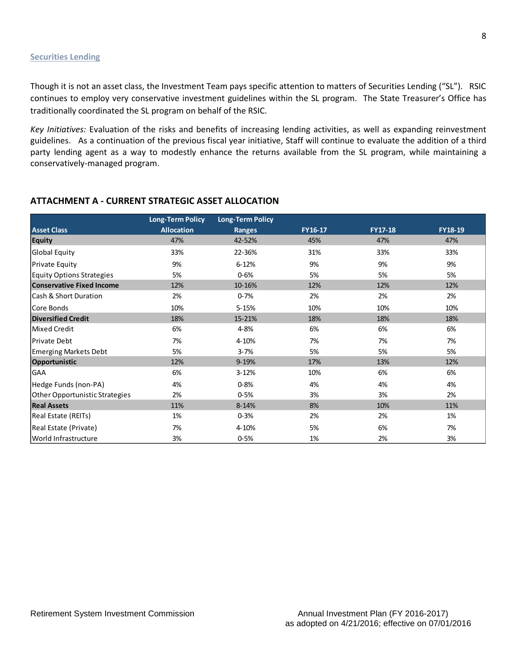#### **Securities Lending**

Though it is not an asset class, the Investment Team pays specific attention to matters of Securities Lending ("SL"). RSIC continues to employ very conservative investment guidelines within the SL program. The State Treasurer's Office has traditionally coordinated the SL program on behalf of the RSIC.

*Key Initiatives:* Evaluation of the risks and benefits of increasing lending activities, as well as expanding reinvestment guidelines. As a continuation of the previous fiscal year initiative, Staff will continue to evaluate the addition of a third party lending agent as a way to modestly enhance the returns available from the SL program, while maintaining a conservatively-managed program.

|                                  | <b>Long-Term Policy</b> | <b>Long-Term Policy</b> |         |                |         |
|----------------------------------|-------------------------|-------------------------|---------|----------------|---------|
| <b>Asset Class</b>               | <b>Allocation</b>       | Ranges                  | FY16-17 | <b>FY17-18</b> | FY18-19 |
| <b>Equity</b>                    | 47%                     | 42-52%                  | 45%     | 47%            | 47%     |
| Global Equity                    | 33%                     | 22-36%                  | 31%     | 33%            | 33%     |
| <b>Private Equity</b>            | 9%                      | $6 - 12%$               | 9%      | 9%             | 9%      |
| <b>Equity Options Strategies</b> | 5%                      | $0 - 6%$                | 5%      | 5%             | 5%      |
| <b>Conservative Fixed Income</b> | 12%                     | 10-16%                  | 12%     | 12%            | 12%     |
| Cash & Short Duration            | 2%                      | $0 - 7%$                | 2%      | 2%             | 2%      |
| Core Bonds                       | 10%                     | $5 - 15%$               | 10%     | 10%            | 10%     |
| <b>Diversified Credit</b>        | 18%                     | 15-21%                  | 18%     | 18%            | 18%     |
| <b>Mixed Credit</b>              | 6%                      | 4-8%                    | 6%      | 6%             | 6%      |
| Private Debt                     | 7%                      | 4-10%                   | 7%      | 7%             | 7%      |
| <b>Emerging Markets Debt</b>     | 5%                      | $3 - 7%$                | 5%      | 5%             | 5%      |
| Opportunistic                    | 12%                     | $9 - 19%$               | 17%     | 13%            | 12%     |
| <b>GAA</b>                       | 6%                      | $3 - 12%$               | 10%     | 6%             | 6%      |
| Hedge Funds (non-PA)             | 4%                      | $0 - 8%$                | 4%      | 4%             | 4%      |
| Other Opportunistic Strategies   | 2%                      | $0 - 5%$                | 3%      | 3%             | 2%      |
| <b>Real Assets</b>               | 11%                     | $8 - 14%$               | 8%      | 10%            | 11%     |
| Real Estate (REITs)              | 1%                      | $0 - 3%$                | 2%      | 2%             | 1%      |
| Real Estate (Private)            | 7%                      | 4-10%                   | 5%      | 6%             | 7%      |
| World Infrastructure             | 3%                      | $0 - 5%$                | 1%      | 2%             | 3%      |

# **ATTACHMENT A - CURRENT STRATEGIC ASSET ALLOCATION**